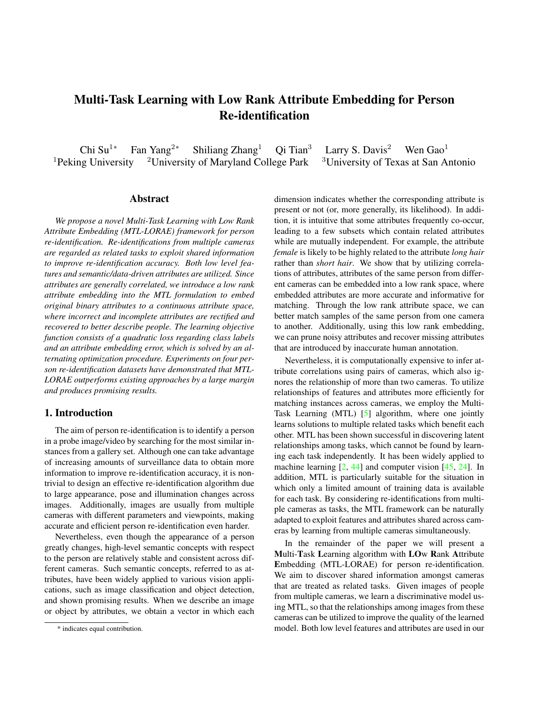# <span id="page-0-0"></span>Multi-Task Learning with Low Rank Attribute Embedding for Person Re-identification

Chi Su<sup>1∗</sup> Fan Yang<sup>2∗</sup> Shiliang Zhang<sup>1</sup> Qi Tian<sup>3</sup> Larry S. Davis<sup>2</sup> Wen Gao<sup>1</sup> <sup>1</sup>Peking University <sup>2</sup>University of Maryland College Park <sup>3</sup>University of Texas at San Antonio

#### Abstract

*We propose a novel Multi-Task Learning with Low Rank Attribute Embedding (MTL-LORAE) framework for person re-identification. Re-identifications from multiple cameras are regarded as related tasks to exploit shared information to improve re-identification accuracy. Both low level features and semantic/data-driven attributes are utilized. Since attributes are generally correlated, we introduce a low rank attribute embedding into the MTL formulation to embed original binary attributes to a continuous attribute space, where incorrect and incomplete attributes are rectified and recovered to better describe people. The learning objective function consists of a quadratic loss regarding class labels and an attribute embedding error, which is solved by an alternating optimization procedure. Experiments on four person re-identification datasets have demonstrated that MTL-LORAE outperforms existing approaches by a large margin and produces promising results.*

# 1. Introduction

The aim of person re-identification is to identify a person in a probe image/video by searching for the most similar instances from a gallery set. Although one can take advantage of increasing amounts of surveillance data to obtain more information to improve re-identification accuracy, it is nontrivial to design an effective re-identification algorithm due to large appearance, pose and illumination changes across images. Additionally, images are usually from multiple cameras with different parameters and viewpoints, making accurate and efficient person re-identification even harder.

Nevertheless, even though the appearance of a person greatly changes, high-level semantic concepts with respect to the person are relatively stable and consistent across different cameras. Such semantic concepts, referred to as attributes, have been widely applied to various vision applications, such as image classification and object detection, and shown promising results. When we describe an image or object by attributes, we obtain a vector in which each dimension indicates whether the corresponding attribute is present or not (or, more generally, its likelihood). In addition, it is intuitive that some attributes frequently co-occur, leading to a few subsets which contain related attributes while are mutually independent. For example, the attribute *female* is likely to be highly related to the attribute *long hair* rather than *short hair*. We show that by utilizing correlations of attributes, attributes of the same person from different cameras can be embedded into a low rank space, where embedded attributes are more accurate and informative for matching. Through the low rank attribute space, we can better match samples of the same person from one camera to another. Additionally, using this low rank embedding, we can prune noisy attributes and recover missing attributes that are introduced by inaccurate human annotation.

Nevertheless, it is computationally expensive to infer attribute correlations using pairs of cameras, which also ignores the relationship of more than two cameras. To utilize relationships of features and attributes more efficiently for matching instances across cameras, we employ the Multi-Task Learning (MTL) [\[5\]](#page-8-0) algorithm, where one jointly learns solutions to multiple related tasks which benefit each other. MTL has been shown successful in discovering latent relationships among tasks, which cannot be found by learning each task independently. It has been widely applied to machine learning  $[2, 44]$  $[2, 44]$  $[2, 44]$  and computer vision  $[45, 24]$  $[45, 24]$  $[45, 24]$ . In addition, MTL is particularly suitable for the situation in which only a limited amount of training data is available for each task. By considering re-identifications from multiple cameras as tasks, the MTL framework can be naturally adapted to exploit features and attributes shared across cameras by learning from multiple cameras simultaneously.

In the remainder of the paper we will present a Multi-Task Learning algorithm with LOw Rank Attribute Embedding (MTL-LORAE) for person re-identification. We aim to discover shared information amongst cameras that are treated as related tasks. Given images of people from multiple cameras, we learn a discriminative model using MTL, so that the relationships among images from these cameras can be utilized to improve the quality of the learned model. Both low level features and attributes are used in our

<sup>\*</sup> indicates equal contribution.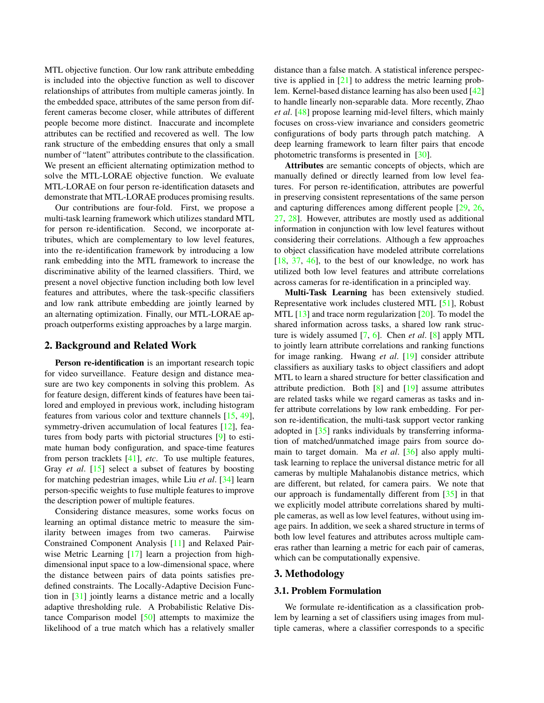<span id="page-1-0"></span>MTL objective function. Our low rank attribute embedding is included into the objective function as well to discover relationships of attributes from multiple cameras jointly. In the embedded space, attributes of the same person from different cameras become closer, while attributes of different people become more distinct. Inaccurate and incomplete attributes can be rectified and recovered as well. The low rank structure of the embedding ensures that only a small number of "latent" attributes contribute to the classification. We present an efficient alternating optimization method to solve the MTL-LORAE objective function. We evaluate MTL-LORAE on four person re-identification datasets and demonstrate that MTL-LORAE produces promising results.

Our contributions are four-fold. First, we propose a multi-task learning framework which utilizes standard MTL for person re-identification. Second, we incorporate attributes, which are complementary to low level features, into the re-identification framework by introducing a low rank embedding into the MTL framework to increase the discriminative ability of the learned classifiers. Third, we present a novel objective function including both low level features and attributes, where the task-specific classifiers and low rank attribute embedding are jointly learned by an alternating optimization. Finally, our MTL-LORAE approach outperforms existing approaches by a large margin.

## 2. Background and Related Work

Person re-identification is an important research topic for video surveillance. Feature design and distance measure are two key components in solving this problem. As for feature design, different kinds of features have been tailored and employed in previous work, including histogram features from various color and textture channels [\[15,](#page-8-5) [49\]](#page-8-6), symmetry-driven accumulation of local features [\[12\]](#page-8-7), features from body parts with pictorial structures [\[9\]](#page-8-8) to estimate human body configuration, and space-time features from person tracklets [\[41\]](#page-8-9), *etc*. To use multiple features, Gray *et al*. [\[15\]](#page-8-5) select a subset of features by boosting for matching pedestrian images, while Liu *et al*. [\[34\]](#page-8-10) learn person-specific weights to fuse multiple features to improve the description power of multiple features.

Considering distance measures, some works focus on learning an optimal distance metric to measure the similarity between images from two cameras. Pairwise Constrained Component Analysis [\[11\]](#page-8-11) and Relaxed Pair-wise Metric Learning [\[17\]](#page-8-12) learn a projection from highdimensional input space to a low-dimensional space, where the distance between pairs of data points satisfies predefined constraints. The Locally-Adaptive Decision Function in [\[31\]](#page-8-13) jointly learns a distance metric and a locally adaptive thresholding rule. A Probabilistic Relative Distance Comparison model [\[50\]](#page-8-14) attempts to maximize the likelihood of a true match which has a relatively smaller distance than a false match. A statistical inference perspective is applied in  $[21]$  to address the metric learning problem. Kernel-based distance learning has also been used [\[42\]](#page-8-16) to handle linearly non-separable data. More recently, Zhao *et al*. [\[48\]](#page-8-17) propose learning mid-level filters, which mainly focuses on cross-view invariance and considers geometric configurations of body parts through patch matching. A deep learning framework to learn filter pairs that encode photometric transforms is presented in [\[30\]](#page-8-18).

Attributes are semantic concepts of objects, which are manually defined or directly learned from low level features. For person re-identification, attributes are powerful in preserving consistent representations of the same person and capturing differences among different people [\[29,](#page-8-19) [26,](#page-8-20) [27,](#page-8-21) [28\]](#page-8-22). However, attributes are mostly used as additional information in conjunction with low level features without considering their correlations. Although a few approaches to object classification have modeled attribute correlations  $[18, 37, 46]$  $[18, 37, 46]$  $[18, 37, 46]$  $[18, 37, 46]$  $[18, 37, 46]$ , to the best of our knowledge, no work has utilized both low level features and attribute correlations across cameras for re-identification in a principled way.

Multi-Task Learning has been extensively studied. Representative work includes clustered MTL [\[51\]](#page-8-26), Robust MTL [\[13\]](#page-8-27) and trace norm regularization [\[20\]](#page-8-28). To model the shared information across tasks, a shared low rank structure is widely assumed [\[7,](#page-8-29) [6\]](#page-8-30). Chen *et al*. [\[8\]](#page-8-31) apply MTL to jointly learn attribute correlations and ranking functions for image ranking. Hwang *et al*. [\[19\]](#page-8-32) consider attribute classifiers as auxiliary tasks to object classifiers and adopt MTL to learn a shared structure for better classification and attribute prediction. Both  $[8]$  and  $[19]$  assume attributes are related tasks while we regard cameras as tasks and infer attribute correlations by low rank embedding. For person re-identification, the multi-task support vector ranking adopted in [\[35\]](#page-8-33) ranks individuals by transferring information of matched/unmatched image pairs from source domain to target domain. Ma *et al*. [\[36\]](#page-8-34) also apply multitask learning to replace the universal distance metric for all cameras by multiple Mahalanobis distance metrics, which are different, but related, for camera pairs. We note that our approach is fundamentally different from [\[35\]](#page-8-33) in that we explicitly model attribute correlations shared by multiple cameras, as well as low level features, without using image pairs. In addition, we seek a shared structure in terms of both low level features and attributes across multiple cameras rather than learning a metric for each pair of cameras, which can be computationally expensive.

#### 3. Methodology

## 3.1. Problem Formulation

We formulate re-identification as a classification problem by learning a set of classifiers using images from multiple cameras, where a classifier corresponds to a specific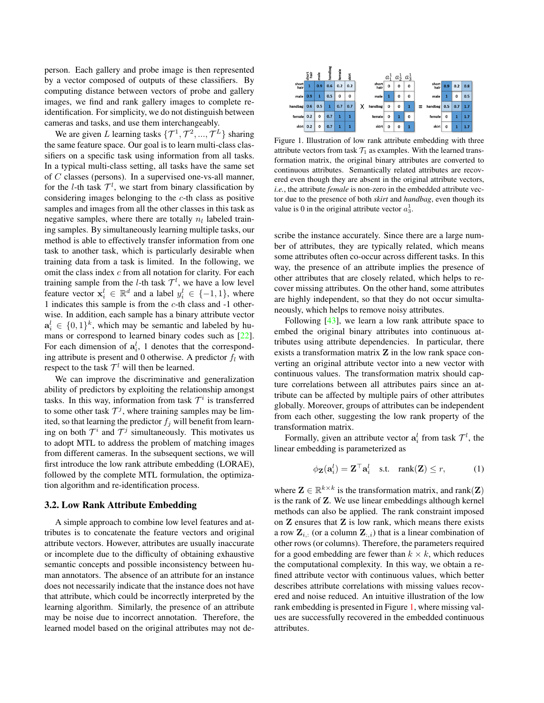<span id="page-2-1"></span>person. Each gallery and probe image is then represented by a vector composed of outputs of these classifiers. By computing distance between vectors of probe and gallery images, we find and rank gallery images to complete reidentification. For simplicity, we do not distinguish between cameras and tasks, and use them interchangeably.

We are given L learning tasks  $\{\mathcal{T}^1, \mathcal{T}^2, ..., \mathcal{T}^L\}$  sharing the same feature space. Our goal is to learn multi-class classifiers on a specific task using information from all tasks. In a typical multi-class setting, all tasks have the same set of C classes (persons). In a supervised one-vs-all manner, for the *l*-th task  $\mathcal{T}^l$ , we start from binary classification by considering images belonging to the c-th class as positive samples and images from all the other classes in this task as negative samples, where there are totally  $n_l$  labeled training samples. By simultaneously learning multiple tasks, our method is able to effectively transfer information from one task to another task, which is particularly desirable when training data from a task is limited. In the following, we omit the class index c from all notation for clarity. For each training sample from the *l*-th task  $\mathcal{T}^l$ , we have a low level feature vector  $x_i^l \in \mathbb{R}^d$  and a label  $y_i^l \in \{-1, 1\}$ , where 1 indicates this sample is from the c-th class and -1 otherwise. In addition, each sample has a binary attribute vector  $a_i^l \in \{0,1\}^k$ , which may be semantic and labeled by humans or correspond to learned binary codes such as [\[22\]](#page-8-35). For each dimension of  $a_i^l$ , 1 denotes that the corresponding attribute is present and 0 otherwise. A predictor  $f_l$  with respect to the task  $\mathcal{T}^l$  will then be learned.

We can improve the discriminative and generalization ability of predictors by exploiting the relationship amongst tasks. In this way, information from task  $\mathcal{T}^i$  is transferred to some other task  $\mathcal{T}^j$ , where training samples may be limited, so that learning the predictor  $f_i$  will benefit from learning on both  $\mathcal{T}^i$  and  $\mathcal{T}^j$  simultaneously. This motivates us to adopt MTL to address the problem of matching images from different cameras. In the subsequent sections, we will first introduce the low rank attribute embedding (LORAE), followed by the complete MTL formulation, the optimization algorithm and re-identification process.

#### 3.2. Low Rank Attribute Embedding

A simple approach to combine low level features and attributes is to concatenate the feature vectors and original attribute vectors. However, attributes are usually inaccurate or incomplete due to the difficulty of obtaining exhaustive semantic concepts and possible inconsistency between human annotators. The absence of an attribute for an instance does not necessarily indicate that the instance does not have that attribute, which could be incorrectly interpreted by the learning algorithm. Similarly, the presence of an attribute may be noise due to incorrect annotation. Therefore, the learned model based on the original attributes may not de-



<span id="page-2-0"></span>Figure 1. Illustration of low rank attribute embedding with three attribute vectors from task  $\mathcal{T}_1$  as examples. With the learned transformation matrix, the original binary attributes are converted to continuous attributes. Semantically related attributes are recovered even though they are absent in the original attribute vectors, *i.e.*, the attribute *female* is non-zero in the embedded attribute vector due to the presence of both *skirt* and *handbag*, even though its value is 0 in the original attribute vector  $a_3^1$ .

scribe the instance accurately. Since there are a large number of attributes, they are typically related, which means some attributes often co-occur across different tasks. In this way, the presence of an attribute implies the presence of other attributes that are closely related, which helps to recover missing attributes. On the other hand, some attributes are highly independent, so that they do not occur simultaneously, which helps to remove noisy attributes.

Following [\[43\]](#page-8-36), we learn a low rank attribute space to embed the original binary attributes into continuous attributes using attribute dependencies. In particular, there exists a transformation matrix Z in the low rank space converting an original attribute vector into a new vector with continuous values. The transformation matrix should capture correlations between all attributes pairs since an attribute can be affected by multiple pairs of other attributes globally. Moreover, groups of attributes can be independent from each other, suggesting the low rank property of the transformation matrix.

Formally, given an attribute vector  $a_i^l$  from task  $\mathcal{T}^l$ , the linear embedding is parameterized as

$$
\phi_{\mathbf{Z}}(\mathbf{a}_i^l) = \mathbf{Z}^\top \mathbf{a}_i^l \quad \text{s.t.} \quad \text{rank}(\mathbf{Z}) \le r, \tag{1}
$$

where  $\mathbf{Z} \in \mathbb{R}^{k \times k}$  is the transformation matrix, and rank $(\mathbf{Z})$ is the rank of Z. We use linear embeddings although kernel methods can also be applied. The rank constraint imposed on  $Z$  ensures that  $Z$  is low rank, which means there exists a row  $\mathbf{Z}_{i,:}$  (or a column  $\mathbf{Z}_{i,i}$ ) that is a linear combination of other rows (or columns). Therefore, the parameters required for a good embedding are fewer than  $k \times k$ , which reduces the computational complexity. In this way, we obtain a refined attribute vector with continuous values, which better describes attribute correlations with missing values recovered and noise reduced. An intuitive illustration of the low rank embedding is presented in Figure [1,](#page-2-0) where missing values are successfully recovered in the embedded continuous attributes.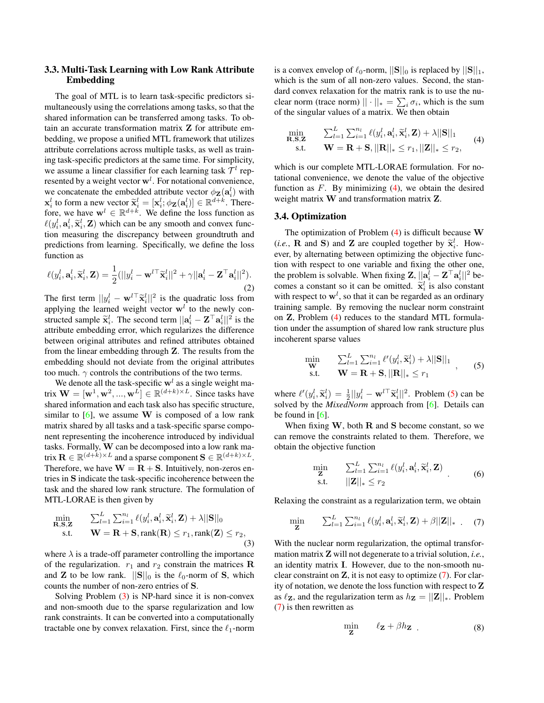# <span id="page-3-7"></span>3.3. Multi-Task Learning with Low Rank Attribute Embedding

The goal of MTL is to learn task-specific predictors simultaneously using the correlations among tasks, so that the shared information can be transferred among tasks. To obtain an accurate transformation matrix Z for attribute embedding, we propose a unified MTL framework that utilizes attribute correlations across multiple tasks, as well as training task-specific predictors at the same time. For simplicity, we assume a linear classifier for each learning task  $\mathcal{T}^l$  represented by a weight vector  $\mathbf{w}^l$ . For notational convenience, we concatenate the embedded attribute vector  $\phi_{\mathbf{Z}}(\mathbf{a}_i^l)$  with  $\mathbf{x}_i^l$  to form a new vector  $\widetilde{\mathbf{x}}_i^l = [\mathbf{x}_i^l; \phi_{\mathbf{Z}}(\mathbf{a}_i^l)] \in \mathbb{R}^{d+k}$ . Therefore, we have  $\mathbf{w}^l \in \mathbb{R}^{d+k}$ . We define the loss function as  $\ell(y_i^l, \mathbf{a}_i^l, \widetilde{\mathbf{x}}_i^l, \mathbf{Z})$  which can be any smooth and convex function measuring the discrepancy between groundtruth and predictions from learning. Specifically, we define the loss function as

<span id="page-3-6"></span>
$$
\ell(y_i^l, \mathbf{a}_i^l, \widetilde{\mathbf{x}}_i^l, \mathbf{Z}) = \frac{1}{2} (||y_i^l - \mathbf{w}^{l\top} \widetilde{\mathbf{x}}_i^l||^2 + \gamma ||\mathbf{a}_i^l - \mathbf{Z}^{\top} \mathbf{a}_i^l||^2).
$$
\n(2)

The first term  $||y_i^l - \mathbf{w}^{l\top} \tilde{\mathbf{x}}_i^l||^2$  is the quadratic loss from applying the learned weight vector  $w<sup>l</sup>$  to the newly constructed sample  $\tilde{\mathbf{x}}_i^l$ . The second term  $||\mathbf{a}_i^l - \mathbf{Z}^T \mathbf{a}_i^l||^2$  is the attribute embedding error, which regularizes the difference between original attributes and refined attributes obtained from the linear embedding through Z. The results from the embedding should not deviate from the original attributes too much.  $\gamma$  controls the contributions of the two terms.

We denote all the task-specific  $w<sup>l</sup>$  as a single weight matrix  $\mathbf{W} = [\mathbf{w}^1, \mathbf{w}^2, ..., \mathbf{w}^L] \in \mathbb{R}^{(d+k) \times L}$ . Since tasks have shared information and each task also has specific structure, similar to  $[6]$ , we assume W is composed of a low rank matrix shared by all tasks and a task-specific sparse component representing the incoherence introduced by individual tasks. Formally, W can be decomposed into a low rank matrix  $\mathbf{R} \in \mathbb{R}^{(d+k)\times L}$  and a sparse component  $\mathbf{S} \in \mathbb{R}^{(d+k)\times L}$ . Therefore, we have  $W = R + S$ . Intuitively, non-zeros entries in S indicate the task-specific incoherence between the task and the shared low rank structure. The formulation of MTL-LORAE is then given by

<span id="page-3-0"></span>
$$
\min_{\mathbf{R},\mathbf{S},\mathbf{Z}} \qquad \sum_{l=1}^{L} \sum_{i=1}^{n_l} \ell(y_i^l, \mathbf{a}_i^l, \widetilde{\mathbf{x}}_i^l, \mathbf{Z}) + \lambda ||\mathbf{S}||_0
$$
\n
$$
\text{s.t.} \qquad \mathbf{W} = \mathbf{R} + \mathbf{S}, \text{rank}(\mathbf{R}) \le r_1, \text{rank}(\mathbf{Z}) \le r_2,
$$
\n
$$
\tag{3}
$$

where  $\lambda$  is a trade-off parameter controlling the importance of the regularization.  $r_1$  and  $r_2$  constrain the matrices R and **Z** to be low rank.  $||S||_0$  is the  $\ell_0$ -norm of S, which counts the number of non-zero entries of S.

Solving Problem  $(3)$  is NP-hard since it is non-convex and non-smooth due to the sparse regularization and low rank constraints. It can be converted into a computationally tractable one by convex relaxation. First, since the  $\ell_1$ -norm

is a convex envelop of  $\ell_0$ -norm,  $||S||_0$  is replaced by  $||S||_1$ , which is the sum of all non-zero values. Second, the standard convex relaxation for the matrix rank is to use the nuclear norm (trace norm)  $|| \cdot ||_* = \sum_i \sigma_i$ , which is the sum of the singular values of a matrix. We then obtain

<span id="page-3-1"></span>
$$
\min_{\mathbf{R},\mathbf{S},\mathbf{Z}} \qquad \sum_{l=1}^{L} \sum_{i=1}^{n_l} \ell(y_i^l, \mathbf{a}_i^l, \widetilde{\mathbf{x}}_i^l, \mathbf{Z}) + \lambda ||\mathbf{S}||_1
$$
\n
$$
\text{s.t.} \qquad \mathbf{W} = \mathbf{R} + \mathbf{S}, ||\mathbf{R}||_* \le r_1, ||\mathbf{Z}||_* \le r_2,
$$
\n
$$
(4)
$$

which is our complete MTL-LORAE formulation. For notational convenience, we denote the value of the objective function as  $F$ . By minimizing  $(4)$ , we obtain the desired weight matrix W and transformation matrix Z.

#### 3.4. Optimization

The optimization of Problem  $(4)$  is difficult because W (*i.e.*, **R** and **S**) and **Z** are coupled together by  $\tilde{\mathbf{x}}_i^l$ . However, by alternating between optimizing the objective function with respect to one variable and fixing the other one, the problem is solvable. When fixing  $\mathbf{Z}, ||\mathbf{a}_i^{\mathbf{l}} - \mathbf{Z}^{\top} \mathbf{a}_i^{\mathbf{l}}||^2$  becomes a constant so it can be omitted.  $\tilde{\mathbf{x}}_i^l$  is also constant with respect to  $w<sup>l</sup>$ , so that it can be regarded as an ordinary training sample. By removing the nuclear norm constraint on Z, Problem [\(4\)](#page-3-1) reduces to the standard MTL formulation under the assumption of shared low rank structure plus incoherent sparse values

<span id="page-3-2"></span>
$$
\min_{\mathbf{W}} \qquad \sum_{l=1}^{L} \sum_{i=1}^{n_l} \ell'(y_i^l, \tilde{\mathbf{x}}_i^l) + \lambda ||\mathbf{S}||_1
$$
\n
$$
\text{s.t.} \qquad \mathbf{W} = \mathbf{R} + \mathbf{S}, ||\mathbf{R}||_* \le r_1 \tag{5}
$$

where  $\ell'(y_i^l, \tilde{\mathbf{x}}_i^l) = \frac{1}{2}||y_i^l - \mathbf{w}^{l\top} \tilde{\mathbf{x}}_i^l||^2$ . Problem [\(5\)](#page-3-2) can be solved by the *MixedNorm* approach from [\[6\]](#page-8-30). Details can be found in  $[6]$ .

When fixing  $W$ , both  $R$  and  $S$  become constant, so we can remove the constraints related to them. Therefore, we obtain the objective function

<span id="page-3-5"></span>
$$
\min_{\mathbf{Z}} \qquad \sum_{l=1}^{L} \sum_{i=1}^{n_l} \ell(y_i^l, \mathbf{a}_i^l, \widetilde{\mathbf{x}}_i^l, \mathbf{Z})
$$
\n
$$
\text{s.t.} \qquad ||\mathbf{Z}||_* \leq r_2 \qquad (6)
$$

Relaxing the constraint as a regularization term, we obtain

<span id="page-3-3"></span>
$$
\min_{\mathbf{Z}} \qquad \sum_{l=1}^{L} \sum_{i=1}^{n_l} \ell(y_i^l, \mathbf{a}_i^l, \widetilde{\mathbf{x}}_i^l, \mathbf{Z}) + \beta ||\mathbf{Z}||_* \quad . \quad (7)
$$

With the nuclear norm regularization, the optimal transformation matrix Z will not degenerate to a trivial solution, *i.e.*, an identity matrix I. However, due to the non-smooth nuclear constraint on Z, it is not easy to optimize [\(7\)](#page-3-3). For clarity of notation, we denote the loss function with respect to Z as  $\ell_{\mathbf{Z}}$ , and the regularization term as  $h_{\mathbf{Z}} = ||\mathbf{Z}||_*$ . Problem [\(7\)](#page-3-3) is then rewritten as

<span id="page-3-4"></span>
$$
\min_{\mathbf{Z}} \qquad \ell_{\mathbf{Z}} + \beta h_{\mathbf{Z}} \tag{8}
$$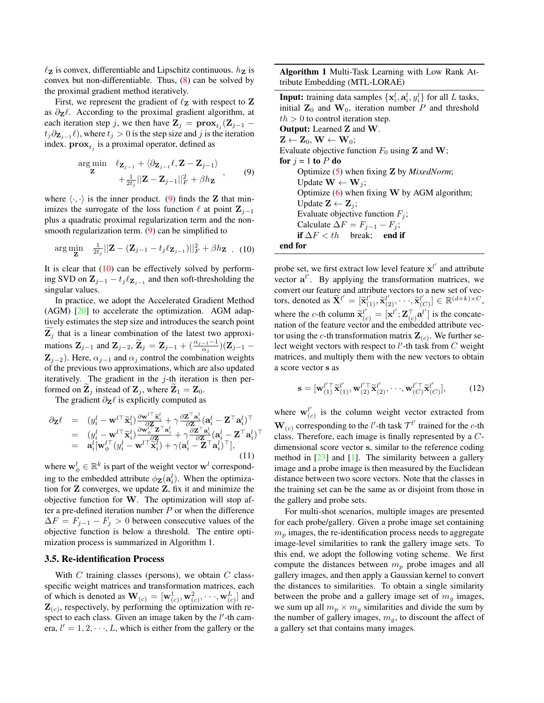<span id="page-4-2"></span> $\ell_{\mathbf{Z}}$  is convex, differentiable and Lipschitz continuous.  $h_{\mathbf{Z}}$  is convex but non-differentiable. Thus, [\(8\)](#page-3-4) can be solved by the proximal gradient method iteratively.

First, we represent the gradient of  $\ell_{\mathbf{Z}}$  with respect to  $\mathbf{Z}$ as  $\partial$ <sub>z</sub> $\ell$ . According to the proximal gradient algorithm, at each iteration step j, we then have  $\mathbf{Z}_j = \mathbf{prox}_{t_j}(\mathbf{Z}_{j-1} - \mathbf{Z}_{j-1})$  $t_j \partial_{\mathbf{Z}_{j-1}} \ell$ ), where  $t_j > 0$  is the step size and j is the iteration index.  $prox_{t_j}$  is a proximal operator, defined as

<span id="page-4-0"></span>
$$
\arg\min_{\mathbf{Z}} \quad \ell_{\mathbf{Z}_{j-1}} + \langle \partial_{\mathbf{Z}_{j-1}} \ell, \mathbf{Z} - \mathbf{Z}_{j-1} \rangle \n+ \frac{1}{2t_j} ||\mathbf{Z} - \mathbf{Z}_{j-1}||_F^2 + \beta h_{\mathbf{Z}} \quad ,
$$
\n(9)

where  $\langle \cdot, \cdot \rangle$  is the inner product. [\(9\)](#page-4-0) finds the **Z** that minimizes the surrogate of the loss function  $\ell$  at point  $\mathbf{Z}_{j-1}$ plus a quadratic proximal regularization term and the non-smooth regularization term. [\(9\)](#page-4-0) can be simplified to

<span id="page-4-1"></span>
$$
\arg\min_{\mathbf{Z}} \quad \frac{1}{2t_j} ||\mathbf{Z} - (\mathbf{Z}_{j-1} - t_j \ell_{\mathbf{Z}_{j-1}})||_F^2 + \beta h_{\mathbf{Z}} \quad . \quad (10)
$$

It is clear that  $(10)$  can be effectively solved by performing SVD on  $\mathbf{Z}_{j-1} - t_j \ell_{\mathbf{Z}_{j-1}}$  and then soft-thresholding the singular values.

In practice, we adopt the Accelerated Gradient Method (AGM) [\[20\]](#page-8-28) to accelerate the optimization. AGM adaptively estimates the step size and introduces the search point  $\mathbf{Z}_i$  that is a linear combination of the latest two approximations  $\mathbf{Z}_{j-1}$  and  $\mathbf{Z}_{j-2}$ ,  $\widetilde{\mathbf{Z}}_j = \mathbf{Z}_{j-1} + \left(\frac{\alpha_{j-1}-1}{\alpha_j}\right) (\mathbf{Z}_{j-1} - \mathbf{Z}_{j-1})$  $\mathbf{Z}_{j-2}$ ). Here,  $\alpha_{j-1}$  and  $\alpha_j$  control the combination weights of the previous two approximations, which are also updated iteratively. The gradient in the  $j$ -th iteration is then performed on  $\mathbf{Z}_j$  instead of  $\mathbf{Z}_j$ , where  $\mathbf{Z}_1 = \mathbf{Z}_0$ .

The gradient  $\partial$ z $\ell$  is explicitly computed as

$$
\partial_{\mathbf{Z}} \ell = (y_i^l - \mathbf{w}^{l\top} \widetilde{\mathbf{x}}_i^l) \frac{\partial \mathbf{w}^{l\top} \widetilde{\mathbf{x}}_i^l}{\partial \mathbf{Z}} + \gamma \frac{\partial \mathbf{Z}^{\top} \mathbf{a}_i^l}{\partial \mathbf{Z}} (\mathbf{a}_i^l - \mathbf{Z}^{\top} \mathbf{a}_i^l)^{\top} \n= (y_i^l - \mathbf{w}^{l\top} \widetilde{\mathbf{x}}_i^l) \frac{\partial \mathbf{w}_\phi^{l\top} \mathbf{Z}^{\top} \mathbf{a}_i^l}{\partial \mathbf{Z}} + \gamma \frac{\partial \mathbf{Z}^{\top} \mathbf{a}_i^l}{\partial \mathbf{Z}} (\mathbf{a}_i^l - \mathbf{Z}^{\top} \mathbf{a}_i^l)^{\top} \n= \mathbf{a}_i^l [\mathbf{w}_\phi^{l\top} (y_i^l - \mathbf{w}^{l\top} \widetilde{\mathbf{x}}_i^l) + \gamma (\mathbf{a}_i^l - \mathbf{Z}^{\top} \mathbf{a}_i^l)^{\top}],
$$
\n(11)

where  $\mathbf{w}_{\phi}^{l} \in \mathbb{R}^{k}$  is part of the weight vector  $\mathbf{w}^{l}$  corresponding to the embedded attribute  $\phi_{\mathbf{Z}}(\mathbf{a}_i^l)$ . When the optimization for Z converges, we update Z, fix it and minimize the objective function for W. The optimization will stop after a pre-defined iteration number  $P$  or when the difference  $\Delta F = F_{j-1} - F_j > 0$  between consecutive values of the objective function is below a threshold. The entire optimization process is summarized in Algorithm 1.

## 3.5. Re-identification Process

With  $C$  training classes (persons), we obtain  $C$  classspecific weight matrices and transformation matrices, each of which is denoted as  $\mathbf{W}_{(c)} = [\mathbf{w}_{(c)}^1, \mathbf{w}_{(c)}^2, \cdots, \mathbf{w}_{(c)}^L]$  and  $\mathbf{Z}_{(c)}$ , respectively, by performing the optimization with respect to each class. Given an image taken by the  $l'$ -th camera,  $l' = 1, 2, \dots, L$ , which is either from the gallery or the

Algorithm 1 Multi-Task Learning with Low Rank Attribute Embedding (MTL-LORAE)

**Input:** training data samples  $\{\mathbf{x}_i^l, \mathbf{a}_i^l, y_i^l\}$  for all L tasks, initial  $\mathbf{Z}_0$  and  $\mathbf{W}_0$ , iteration number P and threshold  $th > 0$  to control iteration step. Output: Learned Z and W.  $\mathbf{Z} \leftarrow \mathbf{Z}_0, \mathbf{W} \leftarrow \mathbf{W}_0;$ Evaluate objective function  $F_0$  using **Z** and **W**; for  $j = 1$  to  $P$  do Optimize [\(5\)](#page-3-2) when fixing Z by *MixedNorm*; Update  $\mathbf{W} \leftarrow \mathbf{W}_i$ ; Optimize [\(6\)](#page-3-5) when fixing W by AGM algorithm; Update  $\mathbf{Z} \leftarrow \mathbf{Z}_i$ ; Evaluate objective function  $F_j$ ; Calculate  $\Delta F = F_{j-1} - F_j$ ; if  $\Delta F < th$  break; end if end for

probe set, we first extract low level feature  $x^{l'}$  and attribute vector  $a^{l'}$ . By applying the transformation matrices, we convert our feature and attribute vectors to a new set of vectors, denoted as  $\widetilde{\mathbf{X}}^{l'}=[\widetilde{\mathbf{x}}_{(1)}^{l'},\widetilde{\mathbf{x}}_{(2)}^{l'},\cdots,\widetilde{\mathbf{x}}_{(k)}^{l'}$  $_{(C)}^{l'}] \in \mathbb{R}^{(d+k)\times C},$ where the c-th column  $\widetilde{\mathbf{x}}_{(c)}^{l'} = [\mathbf{x}^{l'}; \mathbf{Z}_{(c)}^{\top}]$  $\left[\begin{matrix} \overline{c} \\ c \end{matrix}\right]$  a<sup>l'</sup> is the concatenation of the feature vector and the embedded attribute vector using the c-th transformation matrix  $\mathbf{Z}_{(c)}$ . We further select weight vectors with respect to  $l'$ -th task from  $C$  weight matrices, and multiply them with the new vectors to obtain a score vector s as

$$
\mathbf{s} = [\mathbf{w}_{(1)}^{l'} \widetilde{\mathbf{x}}_{(1)}^{l'}, \mathbf{w}_{(2)}^{l'} \widetilde{\mathbf{x}}_{(2)}^{l'}, \cdots, \mathbf{w}_{(C)}^{l'} \widetilde{\mathbf{x}}_{(C)}^{l'}],
$$
(12)

where  $\mathbf{w}_{i}^{l'}$  $l'_{(c)}$  is the column weight vector extracted from  $\mathbf{W}_{(c)}$  corresponding to the l'-th task  $\mathcal{T}^{l'}$  trained for the c-th class. Therefore, each image is finally represented by a Cdimensional score vector s, similar to the reference coding method in  $[23]$  and  $[1]$ . The similarity between a gallery image and a probe image is then measured by the Euclidean distance between two score vectors. Note that the classes in the training set can be the same as or disjoint from those in the gallery and probe sets.

For multi-shot scenarios, multiple images are presented for each probe/gallery. Given a probe image set containing  $m<sub>n</sub>$  images, the re-identification process needs to aggregate image-level similarities to rank the gallery image sets. To this end, we adopt the following voting scheme. We first compute the distances between  $m_p$  probe images and all gallery images, and then apply a Gaussian kernel to convert the distances to similarities. To obtain a single similarity between the probe and a gallery image set of  $m_q$  images, we sum up all  $m_p \times m_q$  similarities and divide the sum by the number of gallery images,  $m_q$ , to discount the affect of a gallery set that contains many images.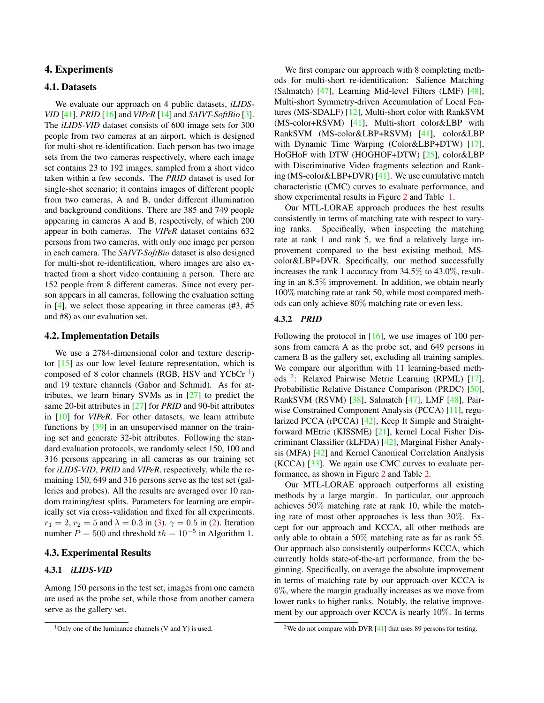# <span id="page-5-2"></span>4. Experiments

## 4.1. Datasets

We evaluate our approach on 4 public datasets, *iLIDS-VID* [\[41\]](#page-8-9), *PRID* [\[16\]](#page-8-39) and *VIPeR* [\[14\]](#page-8-40) and *SAIVT-SoftBio* [\[3\]](#page-8-41). The *iLIDS-VID* dataset consists of 600 image sets for 300 people from two cameras at an airport, which is designed for multi-shot re-identification. Each person has two image sets from the two cameras respectively, where each image set contains 23 to 192 images, sampled from a short video taken within a few seconds. The *PRID* dataset is used for single-shot scenario; it contains images of different people from two cameras, A and B, under different illumination and background conditions. There are 385 and 749 people appearing in cameras A and B, respectively, of which 200 appear in both cameras. The *VIPeR* dataset contains 632 persons from two cameras, with only one image per person in each camera. The *SAIVT-SoftBio* dataset is also designed for multi-shot re-identification, where images are also extracted from a short video containing a person. There are 152 people from 8 different cameras. Since not every person appears in all cameras, following the evaluation setting in [\[4\]](#page-8-42), we select those appearing in three cameras (#3, #5 and #8) as our evaluation set.

#### 4.2. Implementation Details

We use a 2784-dimensional color and texture descriptor [\[15\]](#page-8-5) as our low level feature representation, which is composed of 8 color channels (RGB, HSV and YCbCr $<sup>1</sup>$  $<sup>1</sup>$  $<sup>1</sup>$ )</sup> and 19 texture channels (Gabor and Schmid). As for attributes, we learn binary SVMs as in  $[27]$  to predict the same 20-bit attributes in [\[27\]](#page-8-21) for *PRID* and 90-bit attributes in [\[10\]](#page-8-43) for *VIPeR*. For other datasets, we learn attribute functions by [\[39\]](#page-8-44) in an unsupervised manner on the training set and generate 32-bit attributes. Following the standard evaluation protocols, we randomly select 150, 100 and 316 persons appearing in all cameras as our training set for *iLIDS-VID*, *PRID* and *VIPeR*, respectively, while the remaining 150, 649 and 316 persons serve as the test set (galleries and probes). All the results are averaged over 10 random training/test splits. Parameters for learning are empirically set via cross-validation and fixed for all experiments.  $r_1 = 2, r_2 = 5$  and  $\lambda = 0.3$  in [\(3\)](#page-3-0).  $\gamma = 0.5$  in [\(2\)](#page-3-6). Iteration number  $P = 500$  and threshold  $th = 10^{-5}$  in Algorithm 1.

#### 4.3. Experimental Results

# 4.3.1 *iLIDS-VID*

Among 150 persons in the test set, images from one camera are used as the probe set, while those from another camera serve as the gallery set.

We first compare our approach with 8 completing methods for multi-short re-identification: Salience Matching (Salmatch) [\[47\]](#page-8-45), Learning Mid-level Filters (LMF) [\[48\]](#page-8-17), Multi-short Symmetry-driven Accumulation of Local Features (MS-SDALF) [\[12\]](#page-8-7), Multi-short color with RankSVM (MS-color+RSVM) [\[41\]](#page-8-9), Multi-short color&LBP with RankSVM (MS-color&LBP+RSVM) [\[41\]](#page-8-9), color&LBP with Dynamic Time Warping (Color&LBP+DTW) [\[17\]](#page-8-12), HoGHoF with DTW (HOGHOF+DTW) [\[25\]](#page-8-46), color&LBP with Discriminative Video fragments selection and Ranking (MS-color&LBP+DVR) [\[41\]](#page-8-9). We use cumulative match characteristic (CMC) curves to evaluate performance, and show experimental results in Figure [2](#page-6-0) and Table [1.](#page-6-1)

Our MTL-LORAE approach produces the best results consistently in terms of matching rate with respect to varying ranks. Specifically, when inspecting the matching rate at rank 1 and rank 5, we find a relatively large improvement compared to the best existing method, MScolor&LBP+DVR. Specifically, our method successfully increases the rank 1 accuracy from 34.5% to 43.0%, resulting in an 8.5% improvement. In addition, we obtain nearly 100% matching rate at rank 50, while most compared methods can only achieve 80% matching rate or even less.

#### 4.3.2 *PRID*

Following the protocol in  $[16]$ , we use images of 100 persons from camera A as the probe set, and 649 persons in camera B as the gallery set, excluding all training samples. We compare our algorithm with 11 learning-based meth-ods<sup>[2](#page-5-1)</sup>: Relaxed Pairwise Metric Learning (RPML) [\[17\]](#page-8-12), Probabilistic Relative Distance Comparison (PRDC) [\[50\]](#page-8-14), RankSVM (RSVM) [\[38\]](#page-8-47), Salmatch [\[47\]](#page-8-45), LMF [\[48\]](#page-8-17), Pair-wise Constrained Component Analysis (PCCA) [\[11\]](#page-8-11), regularized PCCA (rPCCA) [\[42\]](#page-8-16), Keep It Simple and Straightforward MEtric (KISSME) [\[21\]](#page-8-15), kernel Local Fisher Discriminant Classifier (kLFDA) [\[42\]](#page-8-16), Marginal Fisher Analysis (MFA) [\[42\]](#page-8-16) and Kernel Canonical Correlation Analysis (KCCA) [\[33\]](#page-8-48). We again use CMC curves to evaluate performance, as shown in Figure [2](#page-6-0) and Table [2.](#page-6-2)

Our MTL-LORAE approach outperforms all existing methods by a large margin. In particular, our approach achieves 50% matching rate at rank 10, while the matching rate of most other approaches is less than 30%. Except for our approach and KCCA, all other methods are only able to obtain a 50% matching rate as far as rank 55. Our approach also consistently outperforms KCCA, which currently holds state-of-the-art performance, from the beginning. Specifically, on average the absolute improvement in terms of matching rate by our approach over KCCA is 6%, where the margin gradually increases as we move from lower ranks to higher ranks. Notably, the relative improvement by our approach over KCCA is nearly 10%. In terms

<span id="page-5-0"></span> $1$ Only one of the luminance channels (V and Y) is used.

<span id="page-5-1"></span><sup>&</sup>lt;sup>2</sup>We do not compare with DVR  $[41]$  that uses 89 persons for testing.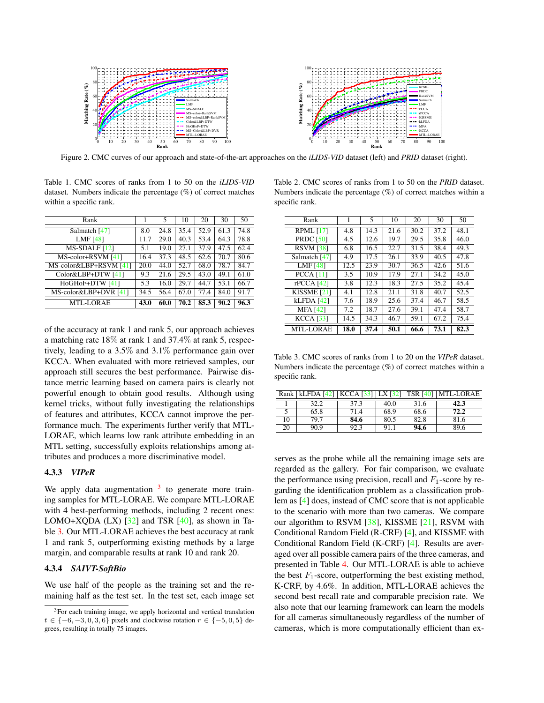<span id="page-6-5"></span>

<span id="page-6-1"></span><span id="page-6-0"></span>Figure 2. CMC curves of our approach and state-of-the-art approaches on the *iLIDS-VID* dataset (left) and *PRID* dataset (right).

Table 1. CMC scores of ranks from 1 to 50 on the *iLIDS-VID* dataset. Numbers indicate the percentage (%) of correct matches within a specific rank.

| Rank                   |      | 5    | 10   | 20   | 30   | 50   |
|------------------------|------|------|------|------|------|------|
| Salmatch [47]          | 8.0  | 24.8 | 35.4 | 52.9 | 61.3 | 74.8 |
| LMF $[48]$             | 11.7 | 29.0 | 40.3 | 53.4 | 64.3 | 78.8 |
| $MS-SDALF[12]$         | 5.1  | 19.0 | 27.1 | 37.9 | 47.5 | 62.4 |
| MS-color+RSVM [41]     | 16.4 | 37.3 | 48.5 | 62.6 | 70.7 | 80.6 |
| MS-color&LBP+RSVM [41] | 20.0 | 44.0 | 52.7 | 68.0 | 78.7 | 84.7 |
| Color&LBP+DTW [41]     | 9.3  | 21.6 | 29.5 | 43.0 | 49.1 | 61.0 |
| HoGHoF+DTW [41]        | 5.3  | 16.0 | 29.7 | 44.7 | 53.1 | 66.7 |
| MS-color&LBP+DVR [41]  | 34.5 | 56.4 | 67.0 | 77.4 | 84.0 | 91.7 |
| MTL-LORAE              | 43.0 | 60.0 | 70.2 | 85.3 | 90.2 | 96.3 |

of the accuracy at rank 1 and rank 5, our approach achieves a matching rate 18% at rank 1 and 37.4% at rank 5, respectively, leading to a 3.5% and 3.1% performance gain over KCCA. When evaluated with more retrieved samples, our approach still secures the best performance. Pairwise distance metric learning based on camera pairs is clearly not powerful enough to obtain good results. Although using kernel tricks, without fully investigating the relationships of features and attributes, KCCA cannot improve the performance much. The experiments further verify that MTL-LORAE, which learns low rank attribute embedding in an MTL setting, successfully exploits relationships among attributes and produces a more discriminative model.

## 4.3.3 *VIPeR*

We apply data augmentation  $3$  to generate more training samples for MTL-LORAE. We compare MTL-LORAE with 4 best-performing methods, including 2 recent ones: LOMO+XQDA (LX)  $[32]$  and TSR  $[40]$ , as shown in Table [3.](#page-6-4) Our MTL-LORAE achieves the best accuracy at rank 1 and rank 5, outperforming existing methods by a large margin, and comparable results at rank 10 and rank 20.

## 4.3.4 *SAIVT-SoftBio*

We use half of the people as the training set and the remaining half as the test set. In the test set, each image set <span id="page-6-2"></span>Table 2. CMC scores of ranks from 1 to 50 on the *PRID* dataset. Numbers indicate the percentage (%) of correct matches within a specific rank.

| Rank                   |      | 5    | 10   | 20   | 30   | 50   |
|------------------------|------|------|------|------|------|------|
|                        |      |      |      |      |      |      |
| <b>RPML [17]</b>       | 4.8  | 14.3 | 21.6 | 30.2 | 37.2 | 48.1 |
| <b>PRDC</b> [50]       | 4.5  | 12.6 | 19.7 | 29.5 | 35.8 | 46.0 |
| <b>RSVM</b> [38]       | 6.8  | 16.5 | 22.7 | 31.5 | 38.4 | 49.3 |
| Salmatch [47]          | 4.9  | 17.5 | 26.1 | 33.9 | 40.5 | 47.8 |
| LMF $[48]$             | 12.5 | 23.9 | 30.7 | 36.5 | 42.6 | 51.6 |
| <b>PCCA [11]</b>       | 3.5  | 10.9 | 17.9 | 27.1 | 34.2 | 45.0 |
| $rPCCA$ [42]           | 3.8  | 12.3 | 18.3 | 27.5 | 35.2 | 45.4 |
| KISSME <sup>[21]</sup> | 4.1  | 12.8 | 21.1 | 31.8 | 40.7 | 52.5 |
| <b>kLFDA</b> [42]      | 7.6  | 18.9 | 25.6 | 37.4 | 46.7 | 58.5 |
| <b>MFA [42]</b>        | 7.2  | 18.7 | 27.6 | 39.1 | 47.4 | 58.7 |
| $KCCA$ $[33]$          | 14.5 | 34.3 | 46.7 | 59.1 | 67.2 | 75.4 |
| MTL-LORAE              | 18.0 | 37.4 | 50.1 | 66.6 | 73.1 | 82.3 |

<span id="page-6-4"></span>Table 3. CMC scores of ranks from 1 to 20 on the *VIPeR* dataset. Numbers indicate the percentage (%) of correct matches within a specific rank.

|     |      |      |      |        | Rank   kLFDA [42]   KCCA [33]   LX [32]   TSR [40]   MTL-LORAE |
|-----|------|------|------|--------|----------------------------------------------------------------|
|     | 32.2 | 37.3 | 40 O | 31.6   | 42.3                                                           |
|     | 65.8 | 71.4 | 68.9 | - 68.6 | 72.2                                                           |
| 10  | 79.7 | 84.6 | 80.5 | 82.8   | 81.6                                                           |
| 20. | 90.9 | 92.3 | 91.1 | 94.6   | 89.6                                                           |

serves as the probe while all the remaining image sets are regarded as the gallery. For fair comparison, we evaluate the performance using precision, recall and  $F_1$ -score by regarding the identification problem as a classification problem as [\[4\]](#page-8-42) does, instead of CMC score that is not applicable to the scenario with more than two cameras. We compare our algorithm to RSVM [\[38\]](#page-8-47), KISSME [\[21\]](#page-8-15), RSVM with Conditional Random Field (R-CRF) [\[4\]](#page-8-42), and KISSME with Conditional Random Field (K-CRF) [\[4\]](#page-8-42). Results are averaged over all possible camera pairs of the three cameras, and presented in Table [4.](#page-7-0) Our MTL-LORAE is able to achieve the best  $F_1$ -score, outperforming the best existing method, K-CRF, by 4.6%. In addition, MTL-LORAE achieves the second best recall rate and comparable precision rate. We also note that our learning framework can learn the models for all cameras simultaneously regardless of the number of cameras, which is more computationally efficient than ex-

<span id="page-6-3"></span><sup>&</sup>lt;sup>3</sup>For each training image, we apply horizontal and vertical translation  $t \in \{-6, -3, 0, 3, 6\}$  pixels and clockwise rotation  $r \in \{-5, 0, 5\}$  degrees, resulting in totally 75 images.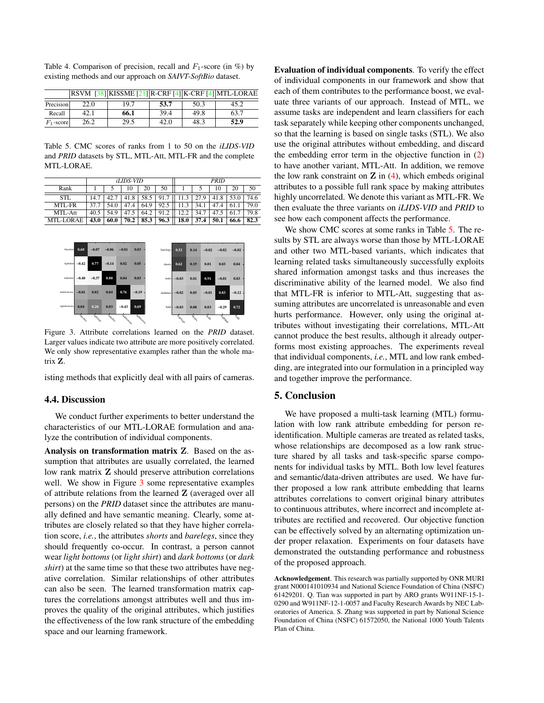<span id="page-7-3"></span><span id="page-7-0"></span>Table 4. Comparison of precision, recall and  $F_1$ -score (in %) by existing methods and our approach on *SAIVT-SoftBio* dataset.

|              |      |      |      |      | RSVM $[38]$ KISSME $[21]$ R-CRF $[4]$ K-CRF $[4]$ MTL-LORAE |
|--------------|------|------|------|------|-------------------------------------------------------------|
| Precision    | 22.0 | 19.7 | 53.7 | 50.3 | 45.2                                                        |
| Recall       | 42.1 | 66.1 | 39.4 | 49.8 | 63.7                                                        |
| $F_1$ -score | 26.2 | 29.5 | 42.0 | 48.3 | 52.9                                                        |

<span id="page-7-2"></span>Table 5. CMC scores of ranks from 1 to 50 on the *iLIDS-VID* and *PRID* datasets by STL, MTL-Att, MTL-FR and the complete MTL-LORAE.

|                  | <i>iLIDS-VID</i> |      |      |      | PRID |      |      |      |      |      |
|------------------|------------------|------|------|------|------|------|------|------|------|------|
| Rank             |                  |      | 10   | 20   | 50   |      |      | 10   | 20   | 50   |
| <b>STL</b>       | 14.7             |      | 41.8 | 58.5 | 91.7 | 11.3 | 27.9 | 41.8 | 53.0 | 74.6 |
| MTL-FR           | 37.7             |      | 47.4 | 64.9 | 92.5 | 11.3 | 34.1 | 47.4 | 61.  | 79.0 |
| MTL-Att          | 40.5             | 54.9 | 47.5 | 64.2 | 91.2 | 12.2 | 34.7 |      | 61.7 | 79.8 |
| <b>MTL-LORAE</b> | 43.0             | 60.0 | 70.2 | 85.3 | 96.3 | 18.0 | 37.4 | 50.1 | 66.6 | 82.3 |



<span id="page-7-1"></span>Figure 3. Attribute correlations learned on the *PRID* dataset. Larger values indicate two attribute are more positively correlated. We only show representative examples rather than the whole matrix Z.

isting methods that explicitly deal with all pairs of cameras.

#### 4.4. Discussion

We conduct further experiments to better understand the characteristics of our MTL-LORAE formulation and analyze the contribution of individual components.

Analysis on transformation matrix Z. Based on the assumption that attributes are usually correlated, the learned low rank matrix Z should preserve attribution correlations well. We show in Figure [3](#page-7-1) some representative examples of attribute relations from the learned Z (averaged over all persons) on the *PRID* dataset since the attributes are manually defined and have semantic meaning. Clearly, some attributes are closely related so that they have higher correlation score, *i.e.*, the attributes *shorts* and *barelegs*, since they should frequently co-occur. In contrast, a person cannot wear *light bottoms* (or *light shirt*) and *dark bottoms* (or *dark shirt*) at the same time so that these two attributes have negative correlation. Similar relationships of other attributes can also be seen. The learned transformation matrix captures the correlations amongst attributes well and thus improves the quality of the original attributes, which justifies the effectiveness of the low rank structure of the embedding space and our learning framework.

Evaluation of individual components. To verify the effect of individual components in our framework and show that each of them contributes to the performance boost, we evaluate three variants of our approach. Instead of MTL, we assume tasks are independent and learn classifiers for each task separately while keeping other components unchanged, so that the learning is based on single tasks (STL). We also use the original attributes without embedding, and discard the embedding error term in the objective function in [\(2\)](#page-3-6) to have another variant, MTL-Att. In addition, we remove the low rank constraint on  $Z$  in  $(4)$ , which embeds original attributes to a possible full rank space by making attributes highly uncorrelated. We denote this variant as MTL-FR. We then evaluate the three variants on *iLIDS-VID* and *PRID* to see how each component affects the performance.

We show CMC scores at some ranks in Table [5.](#page-7-2) The results by STL are always worse than those by MTL-LORAE and other two MTL-based variants, which indicates that learning related tasks simultaneously successfully exploits shared information amongst tasks and thus increases the discriminative ability of the learned model. We also find that MTL-FR is inferior to MTL-Att, suggesting that assuming attributes are uncorrelated is unreasonable and even hurts performance. However, only using the original attributes without investigating their correlations, MTL-Att cannot produce the best results, although it already outperforms most existing approaches. The experiments reveal that individual components, *i.e.*, MTL and low rank embedding, are integrated into our formulation in a principled way and together improve the performance.

# 5. Conclusion

We have proposed a multi-task learning (MTL) formulation with low rank attribute embedding for person reidentification. Multiple cameras are treated as related tasks, whose relationships are decomposed as a low rank structure shared by all tasks and task-specific sparse components for individual tasks by MTL. Both low level features and semantic/data-driven attributes are used. We have further proposed a low rank attribute embedding that learns attributes correlations to convert original binary attributes to continuous attributes, where incorrect and incomplete attributes are rectified and recovered. Our objective function can be effectively solved by an alternating optimization under proper relaxation. Experiments on four datasets have demonstrated the outstanding performance and robustness of the proposed approach.

Acknowledgement. This research was partially supported by ONR MURI grant N000141010934 and National Science Foundation of China (NSFC) 61429201. Q. Tian was supported in part by ARO grants W911NF-15-1- 0290 and W911NF-12-1-0057 and Faculty Research Awards by NEC Laboratories of America. S. Zhang was supported in part by National Science Foundation of China (NSFC) 61572050, the National 1000 Youth Talents Plan of China.